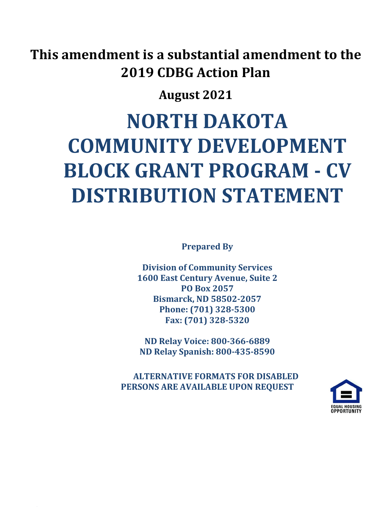## **This amendment is a substantial amendment to the 2019 CDBG Action Plan**

### **August 2021**

# **NORTH DAKOTA COMMUNITY DEVELOPMENT BLOCK GRANT PROGRAM - CV DISTRIBUTION STATEMENT**

**Prepared By**

**Division of Community Services 1600 East Century Avenue, Suite 2 PO Box 2057 Bismarck, ND 58502-2057 Phone: (701) 328-5300 Fax: (701) 328-5320**

**ND Relay Voice: 800-366-6889 ND Relay Spanish: 800-435-8590**

 **ALTERNATIVE FORMATS FOR DISABLED PERSONS ARE AVAILABLE UPON REQUEST**

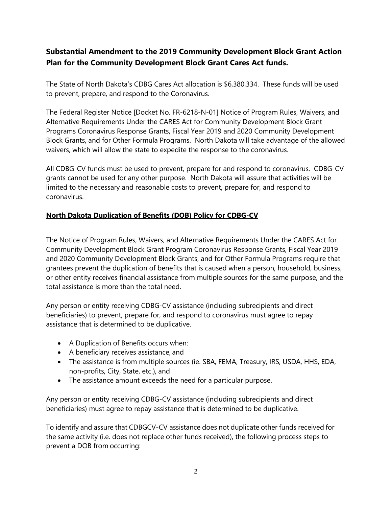### **Substantial Amendment to the 2019 Community Development Block Grant Action Plan for the Community Development Block Grant Cares Act funds.**

The State of North Dakota's CDBG Cares Act allocation is \$6,380,334. These funds will be used to prevent, prepare, and respond to the Coronavirus.

The Federal Register Notice [Docket No. FR-6218-N-01] Notice of Program Rules, Waivers, and Alternative Requirements Under the CARES Act for Community Development Block Grant Programs Coronavirus Response Grants, Fiscal Year 2019 and 2020 Community Development Block Grants, and for Other Formula Programs. North Dakota will take advantage of the allowed waivers, which will allow the state to expedite the response to the coronavirus.

All CDBG-CV funds must be used to prevent, prepare for and respond to coronavirus. CDBG-CV grants cannot be used for any other purpose. North Dakota will assure that activities will be limited to the necessary and reasonable costs to prevent, prepare for, and respond to coronavirus.

#### **North Dakota Duplication of Benefits (DOB) Policy for CDBG-CV**

The Notice of Program Rules, Waivers, and Alternative Requirements Under the CARES Act for Community Development Block Grant Program Coronavirus Response Grants, Fiscal Year 2019 and 2020 Community Development Block Grants, and for Other Formula Programs require that grantees prevent the duplication of benefits that is caused when a person, household, business, or other entity receives financial assistance from multiple sources for the same purpose, and the total assistance is more than the total need.

Any person or entity receiving CDBG-CV assistance (including subrecipients and direct beneficiaries) to prevent, prepare for, and respond to coronavirus must agree to repay assistance that is determined to be duplicative.

- A Duplication of Benefits occurs when:
- A beneficiary receives assistance, and
- The assistance is from multiple sources (ie. SBA, FEMA, Treasury, IRS, USDA, HHS, EDA, non-profits, City, State, etc.), and
- The assistance amount exceeds the need for a particular purpose.

Any person or entity receiving CDBG-CV assistance (including subrecipients and direct beneficiaries) must agree to repay assistance that is determined to be duplicative.

To identify and assure that CDBGCV-CV assistance does not duplicate other funds received for the same activity (i.e. does not replace other funds received), the following process steps to prevent a DOB from occurring: